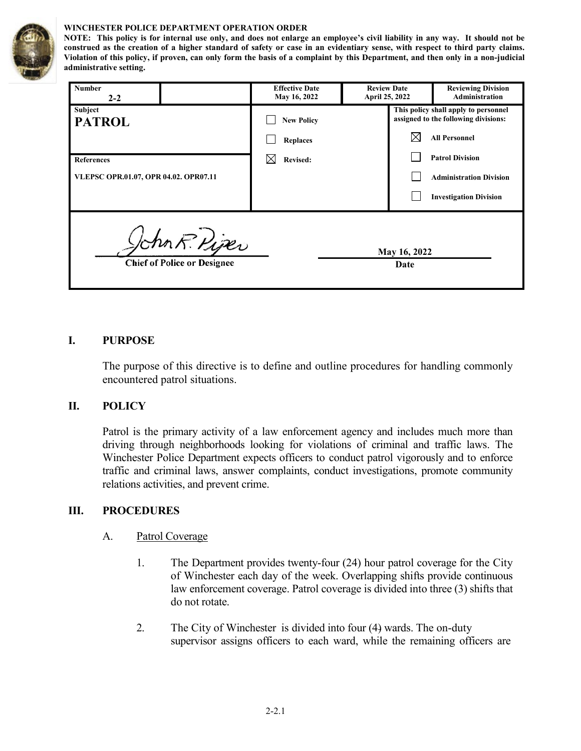

#### **WINCHESTER POLICE DEPARTMENT OPERATION ORDER**

**NOTE: This policy is for internal use only, and does not enlarge an employee's civil liability in any way. It should not be construed as the creation of a higher standard of safety or case in an evidentiary sense, with respect to third party claims. Violation of this policy, if proven, can only form the basis of a complaint by this Department, and then only in a non-judicial administrative setting.**

| Number<br>$2 - 2$                                                           | <b>Effective Date</b><br>May 16, 2022 | <b>Review Date</b><br><b>April 25, 2022</b> | <b>Reviewing Division</b><br>Administration                                  |  |
|-----------------------------------------------------------------------------|---------------------------------------|---------------------------------------------|------------------------------------------------------------------------------|--|
| Subject<br><b>PATROL</b>                                                    | <b>New Policy</b>                     |                                             | This policy shall apply to personnel<br>assigned to the following divisions: |  |
|                                                                             | <b>Replaces</b>                       |                                             | <b>All Personnel</b>                                                         |  |
| <b>References</b>                                                           | <b>Revised:</b>                       |                                             | <b>Patrol Division</b>                                                       |  |
| VLEPSC OPR.01.07, OPR 04.02. OPR07.11                                       |                                       |                                             | <b>Administration Division</b>                                               |  |
|                                                                             |                                       |                                             | <b>Investigation Division</b>                                                |  |
| John R. Piper<br>May 16, 2022<br><b>Chief of Police or Designee</b><br>Date |                                       |                                             |                                                                              |  |

#### **I. PURPOSE**

The purpose of this directive is to define and outline procedures for handling commonly encountered patrol situations.

#### **II. POLICY**

Patrol is the primary activity of a law enforcement agency and includes much more than driving through neighborhoods looking for violations of criminal and traffic laws. The Winchester Police Department expects officers to conduct patrol vigorously and to enforce traffic and criminal laws, answer complaints, conduct investigations, promote community relations activities, and prevent crime.

#### **III. PROCEDURES**

#### A. Patrol Coverage

- 1. The Department provides twenty-four (24) hour patrol coverage for the City of Winchester each day of the week. Overlapping shifts provide continuous law enforcement coverage. Patrol coverage is divided into three (3) shifts that do not rotate.
- 2. The City of Winchester is divided into four (4) wards. The on-duty supervisor assigns officers to each ward, while the remaining officers are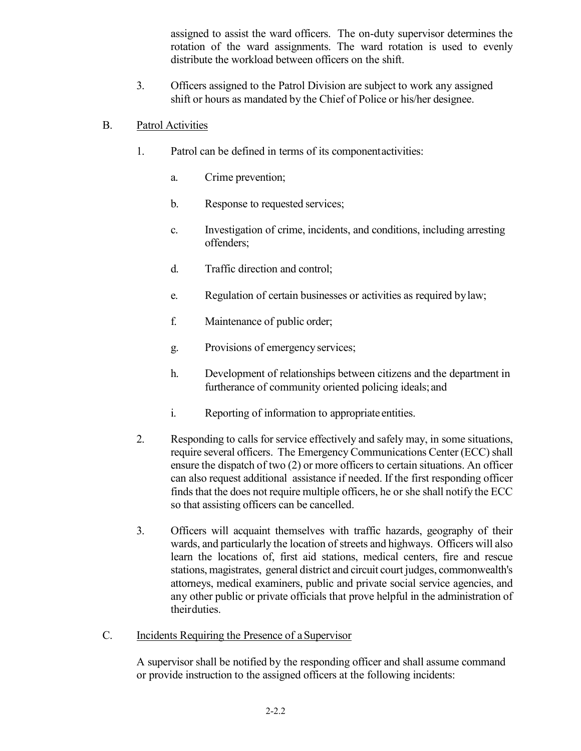assigned to assist the ward officers. The on-duty supervisor determines the rotation of the ward assignments. The ward rotation is used to evenly distribute the workload between officers on the shift.

3. Officers assigned to the Patrol Division are subject to work any assigned shift or hours as mandated by the Chief of Police or his/her designee.

# B. Patrol Activities

- 1. Patrol can be defined in terms of its componentactivities:
	- a. Crime prevention;
	- b. Response to requested services;
	- c. Investigation of crime, incidents, and conditions, including arresting offenders;
	- d. Traffic direction and control;
	- e. Regulation of certain businesses or activities as required bylaw;
	- f. Maintenance of public order;
	- g. Provisions of emergency services;
	- h. Development of relationships between citizens and the department in furtherance of community oriented policing ideals; and
	- i. Reporting of information to appropriate entities.
- 2. Responding to calls for service effectively and safely may, in some situations, require several officers. The Emergency Communications Center (ECC) shall ensure the dispatch of two  $(2)$  or more officers to certain situations. An officer can also request additional assistance if needed. If the first responding officer finds that the does not require multiple officers, he or she shall notify the ECC so that assisting officers can be cancelled.
- 3. Officers will acquaint themselves with traffic hazards, geography of their wards, and particularly the location of streets and highways. Officers will also learn the locations of, first aid stations, medical centers, fire and rescue stations, magistrates, general district and circuit court judges, commonwealth's attorneys, medical examiners, public and private social service agencies, and any other public or private officials that prove helpful in the administration of theirduties.
- C. Incidents Requiring the Presence of aSupervisor

A supervisor shall be notified by the responding officer and shall assume command or provide instruction to the assigned officers at the following incidents: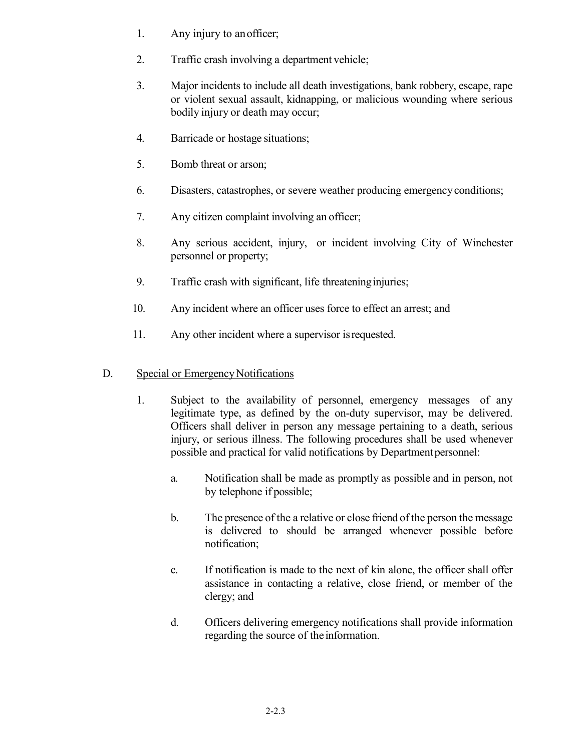- 1. Any injury to anofficer;
- 2. Traffic crash involving a department vehicle;
- 3. Major incidents to include all death investigations, bank robbery, escape, rape or violent sexual assault, kidnapping, or malicious wounding where serious bodily injury or death may occur;
- 4. Barricade or hostage situations;
- 5. Bomb threat or arson;
- 6. Disasters, catastrophes, or severe weather producing emergencyconditions;
- 7. Any citizen complaint involving an officer;
- 8. Any serious accident, injury, or incident involving City of Winchester personnel or property;
- 9. Traffic crash with significant, life threatening injuries;
- 10. Any incident where an officer uses force to effect an arrest; and
- 11. Any other incident where a supervisor isrequested.

## D. Special or Emergency Notifications

- 1. Subject to the availability of personnel, emergency messages of any legitimate type, as defined by the on-duty supervisor, may be delivered. Officers shall deliver in person any message pertaining to a death, serious injury, or serious illness. The following procedures shall be used whenever possible and practical for valid notifications by Department personnel:
	- a. Notification shall be made as promptly as possible and in person, not by telephone if possible;
	- b. The presence of the a relative or close friend of the person the message is delivered to should be arranged whenever possible before notification;
	- c. If notification is made to the next of kin alone, the officer shall offer assistance in contacting a relative, close friend, or member of the clergy; and
	- d. Officers delivering emergency notifications shall provide information regarding the source of the information.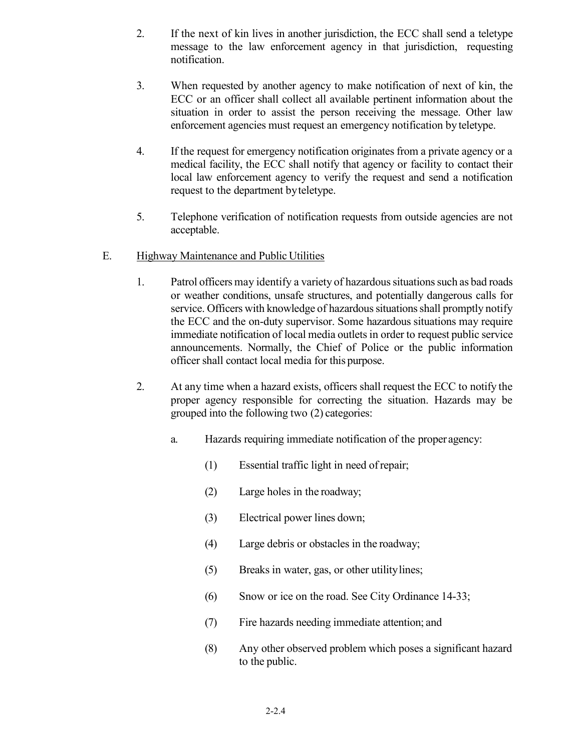- 2. If the next of kin lives in another jurisdiction, the ECC shall send a teletype message to the law enforcement agency in that jurisdiction, requesting notification.
- 3. When requested by another agency to make notification of next of kin, the ECC or an officer shall collect all available pertinent information about the situation in order to assist the person receiving the message. Other law enforcement agencies must request an emergency notification by teletype.
- 4. If the request for emergency notification originates from a private agency or a medical facility, the ECC shall notify that agency or facility to contact their local law enforcement agency to verify the request and send a notification request to the department byteletype.
- 5. Telephone verification of notification requests from outside agencies are not acceptable.
- E. Highway Maintenance and Public Utilities
	- 1. Patrol officers may identify a variety of hazardous situations such as bad roads or weather conditions, unsafe structures, and potentially dangerous calls for service. Officers with knowledge of hazardous situations shall promptly notify the ECC and the on-duty supervisor. Some hazardous situations may require immediate notification of local media outlets in order to request public service announcements. Normally, the Chief of Police or the public information officer shall contact local media for this purpose.
	- 2. At any time when a hazard exists, officers shall request the ECC to notify the proper agency responsible for correcting the situation. Hazards may be grouped into the following two (2) categories:
		- a. Hazards requiring immediate notification of the proper agency:
			- (1) Essential traffic light in need ofrepair;
			- (2) Large holes in the roadway;
			- (3) Electrical power lines down;
			- (4) Large debris or obstacles in the roadway;
			- (5) Breaks in water, gas, or other utilitylines;
			- (6) Snow or ice on the road. See City Ordinance 14-33;
			- (7) Fire hazards needing immediate attention; and
			- (8) Any other observed problem which poses a significant hazard to the public.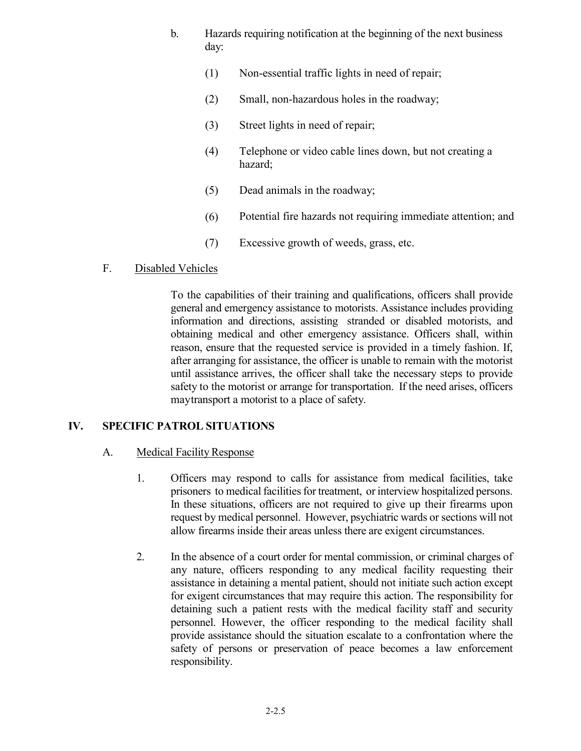- b. Hazards requiring notification at the beginning of the next business day:
	- (1) Non-essential traffic lights in need of repair;
	- (2) Small, non-hazardous holes in the roadway;
	- (3) Street lights in need of repair;
	- (4) Telephone or video cable lines down, but not creating a hazard;
	- (5) Dead animals in the roadway;
	- (6) Potential fire hazards not requiring immediate attention; and
	- (7) Excessive growth of weeds, grass, etc.
- F. Disabled Vehicles

To the capabilities of their training and qualifications, officers shall provide general and emergency assistance to motorists. Assistance includes providing information and directions, assisting stranded or disabled motorists, and obtaining medical and other emergency assistance. Officers shall, within reason, ensure that the requested service is provided in a timely fashion. If, after arranging for assistance, the officer is unable to remain with the motorist until assistance arrives, the officer shall take the necessary steps to provide safety to the motorist or arrange for transportation. If the need arises, officers maytransport a motorist to a place of safety.

### **IV. SPECIFIC PATROL SITUATIONS**

### A. Medical Facility Response

- 1. Officers may respond to calls for assistance from medical facilities, take prisoners to medical facilities for treatment, or interview hospitalized persons. In these situations, officers are not required to give up their firearms upon request by medical personnel. However, psychiatric wards or sections will not allow firearms inside their areas unless there are exigent circumstances.
- 2. In the absence of a court order for mental commission, or criminal charges of any nature, officers responding to any medical facility requesting their assistance in detaining a mental patient, should not initiate such action except for exigent circumstances that may require this action. The responsibility for detaining such a patient rests with the medical facility staff and security personnel. However, the officer responding to the medical facility shall provide assistance should the situation escalate to a confrontation where the safety of persons or preservation of peace becomes a law enforcement responsibility.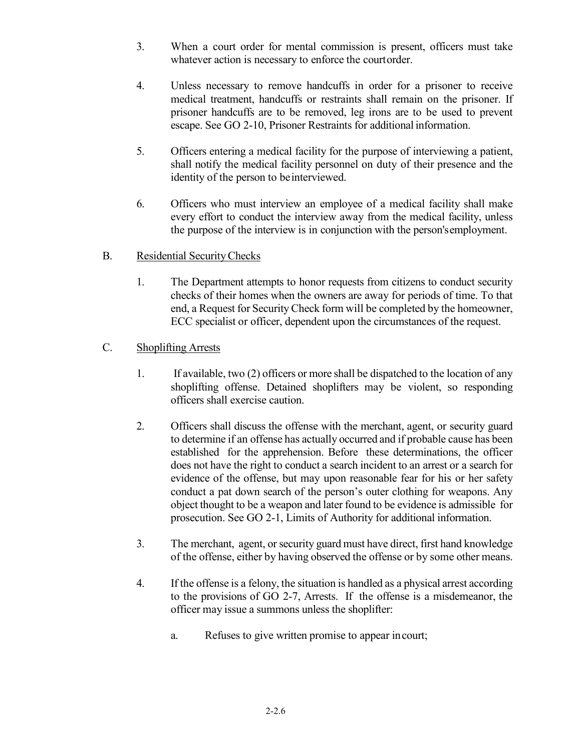- 3. When a court order for mental commission is present, officers must take whatever action is necessary to enforce the courtorder.
- 4. Unless necessary to remove handcuffs in order for a prisoner to receive medical treatment, handcuffs or restraints shall remain on the prisoner. If prisoner handcuffs are to be removed, leg irons are to be used to prevent escape. See GO 2-10, Prisoner Restraints for additional information.
- 5. Officers entering a medical facility for the purpose of interviewing a patient, shall notify the medical facility personnel on duty of their presence and the identity of the person to beinterviewed.
- 6. Officers who must interview an employee of a medical facility shall make every effort to conduct the interview away from the medical facility, unless the purpose of the interview is in conjunction with the person'semployment.

### B. Residential SecurityChecks

1. The Department attempts to honor requests from citizens to conduct security checks of their homes when the owners are away for periods of time. To that end, a Request for Security Check form will be completed by the homeowner, ECC specialist or officer, dependent upon the circumstances of the request.

### C. Shoplifting Arrests

- 1. If available, two (2) officers or more shall be dispatched to the location of any shoplifting offense. Detained shoplifters may be violent, so responding officers shall exercise caution.
- 2. Officers shall discuss the offense with the merchant, agent, or security guard to determine if an offense has actually occurred and if probable cause has been established for the apprehension. Before these determinations, the officer does not have the right to conduct a search incident to an arrest or a search for evidence of the offense, but may upon reasonable fear for his or her safety conduct a pat down search of the person's outer clothing for weapons. Any object thought to be a weapon and later found to be evidence is admissible for prosecution. See GO 2-1, Limits of Authority for additional information.
- 3. The merchant, agent, or security guard must have direct, first hand knowledge of the offense, either by having observed the offense or by some other means.
- 4. If the offense is a felony, the situation is handled as a physical arrest according to the provisions of GO 2-7, Arrests. If the offense is a misdemeanor, the officer may issue a summons unless the shoplifter:
	- a. Refuses to give written promise to appear incourt;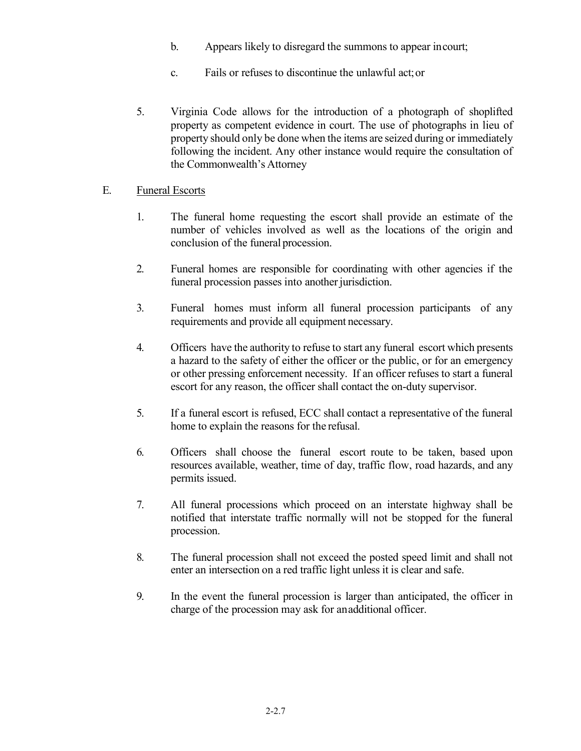- b. Appears likely to disregard the summons to appear incourt;
- c. Fails or refuses to discontinue the unlawful act;or
- 5. Virginia Code allows for the introduction of a photograph of shoplifted property as competent evidence in court. The use of photographs in lieu of property should only be done when the items are seized during or immediately following the incident. Any other instance would require the consultation of the Commonwealth's Attorney

### E. Funeral Escorts

- 1. The funeral home requesting the escort shall provide an estimate of the number of vehicles involved as well as the locations of the origin and conclusion of the funeral procession.
- 2. Funeral homes are responsible for coordinating with other agencies if the funeral procession passes into another jurisdiction.
- 3. Funeral homes must inform all funeral procession participants of any requirements and provide all equipment necessary.
- 4. Officers have the authority to refuse to start any funeral escort which presents a hazard to the safety of either the officer or the public, or for an emergency or other pressing enforcement necessity. If an officer refuses to start a funeral escort for any reason, the officer shall contact the on-duty supervisor.
- 5. If a funeral escort is refused, ECC shall contact a representative of the funeral home to explain the reasons for the refusal.
- 6. Officers shall choose the funeral escort route to be taken, based upon resources available, weather, time of day, traffic flow, road hazards, and any permits issued.
- 7. All funeral processions which proceed on an interstate highway shall be notified that interstate traffic normally will not be stopped for the funeral procession.
- 8. The funeral procession shall not exceed the posted speed limit and shall not enter an intersection on a red traffic light unless it is clear and safe.
- 9. In the event the funeral procession is larger than anticipated, the officer in charge of the procession may ask for anadditional officer.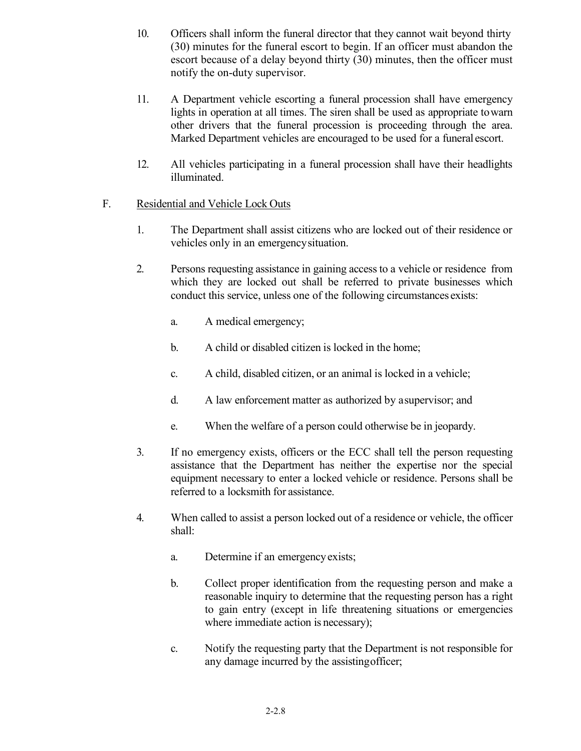- 10. Officers shall inform the funeral director that they cannot wait beyond thirty (30) minutes for the funeral escort to begin. If an officer must abandon the escort because of a delay beyond thirty (30) minutes, then the officer must notify the on-duty supervisor.
- 11. A Department vehicle escorting a funeral procession shall have emergency lights in operation at all times. The siren shall be used as appropriate towarn other drivers that the funeral procession is proceeding through the area. Marked Department vehicles are encouraged to be used for a funeral escort.
- 12. All vehicles participating in a funeral procession shall have their headlights illuminated.

# F. Residential and Vehicle Lock Outs

- 1. The Department shall assist citizens who are locked out of their residence or vehicles only in an emergencysituation.
- 2. Persons requesting assistance in gaining access to a vehicle or residence from which they are locked out shall be referred to private businesses which conduct this service, unless one of the following circumstances exists:
	- a. A medical emergency;
	- b. A child or disabled citizen is locked in the home;
	- c. A child, disabled citizen, or an animal is locked in a vehicle;
	- d. A law enforcement matter as authorized by asupervisor; and
	- e. When the welfare of a person could otherwise be in jeopardy.
- 3. If no emergency exists, officers or the ECC shall tell the person requesting assistance that the Department has neither the expertise nor the special equipment necessary to enter a locked vehicle or residence. Persons shall be referred to a locksmith for assistance.
- 4. When called to assist a person locked out of a residence or vehicle, the officer shall:
	- a. Determine if an emergencyexists;
	- b. Collect proper identification from the requesting person and make a reasonable inquiry to determine that the requesting person has a right to gain entry (except in life threatening situations or emergencies where immediate action is necessary);
	- c. Notify the requesting party that the Department is not responsible for any damage incurred by the assistingofficer;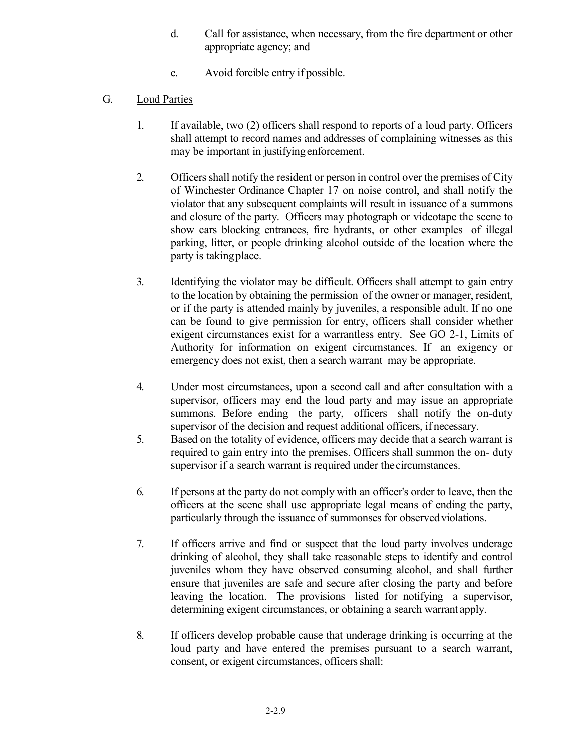- d. Call for assistance, when necessary, from the fire department or other appropriate agency; and
- e. Avoid forcible entry if possible.
- G. Loud Parties
	- 1. If available, two (2) officers shall respond to reports of a loud party. Officers shall attempt to record names and addresses of complaining witnesses as this may be important in justifyingenforcement.
	- 2. Officers shall notify the resident or person in control over the premises of City of Winchester Ordinance Chapter 17 on noise control, and shall notify the violator that any subsequent complaints will result in issuance of a summons and closure of the party. Officers may photograph or videotape the scene to show cars blocking entrances, fire hydrants, or other examples of illegal parking, litter, or people drinking alcohol outside of the location where the party is takingplace.
	- 3. Identifying the violator may be difficult. Officers shall attempt to gain entry to the location by obtaining the permission of the owner or manager, resident, or if the party is attended mainly by juveniles, a responsible adult. If no one can be found to give permission for entry, officers shall consider whether exigent circumstances exist for a warrantless entry. See GO 2-1, Limits of Authority for information on exigent circumstances. If an exigency or emergency does not exist, then a search warrant may be appropriate.
	- 4. Under most circumstances, upon a second call and after consultation with a supervisor, officers may end the loud party and may issue an appropriate summons. Before ending the party, officers shall notify the on-duty supervisor of the decision and request additional officers, if necessary.
	- 5. Based on the totality of evidence, officers may decide that a search warrant is required to gain entry into the premises. Officers shall summon the on- duty supervisor if a search warrant is required under thecircumstances.
	- 6. If persons at the party do not comply with an officer's order to leave, then the officers at the scene shall use appropriate legal means of ending the party, particularly through the issuance of summonses for observed violations.
	- 7. If officers arrive and find or suspect that the loud party involves underage drinking of alcohol, they shall take reasonable steps to identify and control juveniles whom they have observed consuming alcohol, and shall further ensure that juveniles are safe and secure after closing the party and before leaving the location. The provisions listed for notifying a supervisor, determining exigent circumstances, or obtaining a search warrant apply.
	- 8. If officers develop probable cause that underage drinking is occurring at the loud party and have entered the premises pursuant to a search warrant, consent, or exigent circumstances, officers shall: